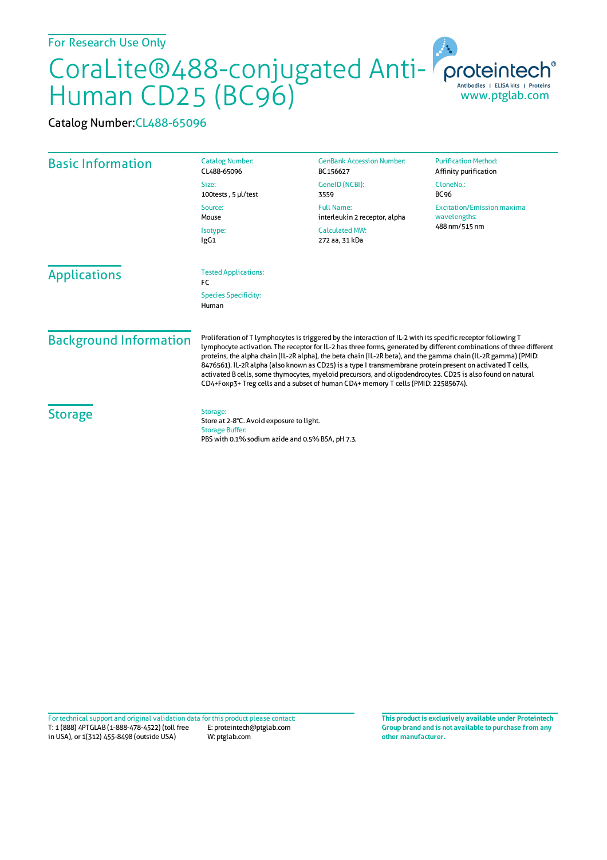## For Research Use Only

## CoraLite®488-conjugated Anti-Human CD25 (BC96) www.ptglab.com

Catalog Number:CL488-65096

| <b>Basic Information</b>      | <b>Catalog Number:</b><br>CL488-65096                                                                                                                                                                                                                                                                                                                                                                                                                                                                                                                                                                                                                                    | <b>GenBank Accession Number:</b><br>BC156627       | <b>Purification Method:</b><br>Affinity purification               |
|-------------------------------|--------------------------------------------------------------------------------------------------------------------------------------------------------------------------------------------------------------------------------------------------------------------------------------------------------------------------------------------------------------------------------------------------------------------------------------------------------------------------------------------------------------------------------------------------------------------------------------------------------------------------------------------------------------------------|----------------------------------------------------|--------------------------------------------------------------------|
|                               | Size:<br>100tests, 5 µl/test                                                                                                                                                                                                                                                                                                                                                                                                                                                                                                                                                                                                                                             | GeneID (NCBI):<br>3559                             | CloneNo.:<br><b>BC96</b>                                           |
|                               | Source:<br>Mouse                                                                                                                                                                                                                                                                                                                                                                                                                                                                                                                                                                                                                                                         | <b>Full Name:</b><br>interleukin 2 receptor, alpha | <b>Excitation/Emission maxima</b><br>wavelengths:<br>488 nm/515 nm |
|                               | Isotype:<br>IgG1                                                                                                                                                                                                                                                                                                                                                                                                                                                                                                                                                                                                                                                         | <b>Calculated MW:</b><br>272 aa, 31 kDa            |                                                                    |
| <b>Applications</b>           | <b>Tested Applications:</b><br>FC                                                                                                                                                                                                                                                                                                                                                                                                                                                                                                                                                                                                                                        |                                                    |                                                                    |
|                               | <b>Species Specificity:</b><br>Human                                                                                                                                                                                                                                                                                                                                                                                                                                                                                                                                                                                                                                     |                                                    |                                                                    |
| <b>Background Information</b> | Proliferation of T lymphocytes is triggered by the interaction of IL-2 with its specific receptor following T<br>lymphocyte activation. The receptor for IL-2 has three forms, generated by different combinations of three different<br>proteins, the alpha chain (IL-2R alpha), the beta chain (IL-2R beta), and the gamma chain (IL-2R gamma) (PMID:<br>8476561). IL-2R alpha (also known as CD25) is a type I transmembrane protein present on activated T cells,<br>activated B cells, some thymocytes, myeloid precursors, and oligodendrocytes. CD25 is also found on natural<br>CD4+Foxp3+Treg cells and a subset of human CD4+ memory T cells (PMID: 22585674). |                                                    |                                                                    |
| <b>Storage</b>                | Storage:<br>Store at 2-8°C. Avoid exposure to light.<br><b>Storage Buffer:</b><br>PBS with 0.1% sodium azide and 0.5% BSA, pH 7.3.                                                                                                                                                                                                                                                                                                                                                                                                                                                                                                                                       |                                                    |                                                                    |

T: 1 (888) 4PTGLAB (1-888-478-4522) (toll free in USA), or 1(312) 455-8498 (outside USA) E: proteintech@ptglab.com W: ptglab.com Fortechnical support and original validation data forthis product please contact: **This productis exclusively available under Proteintech**

**Group brand and is not available to purchase from any other manufacturer.**